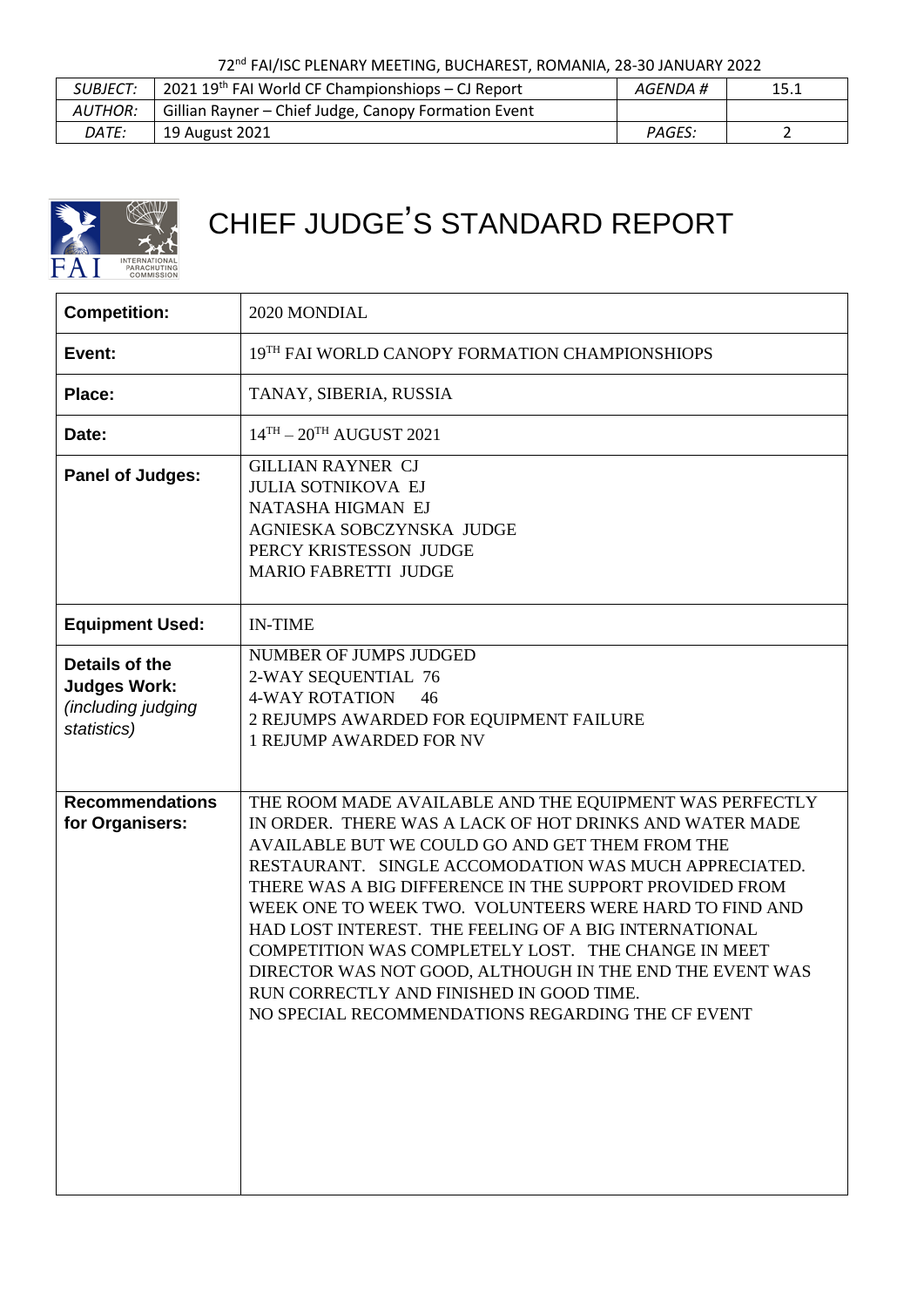72nd FAI/ISC PLENARY MEETING, BUCHAREST, ROMANIA, 28-30 JANUARY 2022

| <i>SUBJECT:</i> | $12021$ 19 <sup>th</sup> FAI World CF Championshiops – CJ Report | AGENDA # | 15.1 |
|-----------------|------------------------------------------------------------------|----------|------|
| AUTHOR:         | Gillian Rayner - Chief Judge, Canopy Formation Event             |          |      |
| <i>DATE:</i>    | 19 August 2021                                                   | PAGES:   |      |



## CHIEF JUDGE'S STANDARD REPORT

| <b>Competition:</b>                                                        | 2020 MONDIAL                                                                                                                                                                                                                                                                                                                                                                                                                                                                                                                                                                                                                     |
|----------------------------------------------------------------------------|----------------------------------------------------------------------------------------------------------------------------------------------------------------------------------------------------------------------------------------------------------------------------------------------------------------------------------------------------------------------------------------------------------------------------------------------------------------------------------------------------------------------------------------------------------------------------------------------------------------------------------|
| Event:                                                                     | 19TH FAI WORLD CANOPY FORMATION CHAMPIONSHIOPS                                                                                                                                                                                                                                                                                                                                                                                                                                                                                                                                                                                   |
| Place:                                                                     | TANAY, SIBERIA, RUSSIA                                                                                                                                                                                                                                                                                                                                                                                                                                                                                                                                                                                                           |
| Date:                                                                      | $14^{TH} - 20^{TH}$ AUGUST 2021                                                                                                                                                                                                                                                                                                                                                                                                                                                                                                                                                                                                  |
| <b>Panel of Judges:</b>                                                    | <b>GILLIAN RAYNER CJ</b><br><b>JULIA SOTNIKOVA EJ</b><br>NATASHA HIGMAN EJ<br>AGNIESKA SOBCZYNSKA JUDGE<br>PERCY KRISTESSON JUDGE<br><b>MARIO FABRETTI JUDGE</b>                                                                                                                                                                                                                                                                                                                                                                                                                                                                 |
| <b>Equipment Used:</b>                                                     | <b>IN-TIME</b>                                                                                                                                                                                                                                                                                                                                                                                                                                                                                                                                                                                                                   |
| Details of the<br><b>Judges Work:</b><br>(including judging<br>statistics) | NUMBER OF JUMPS JUDGED<br>2-WAY SEQUENTIAL 76<br><b>4-WAY ROTATION</b><br>46<br>2 REJUMPS AWARDED FOR EQUIPMENT FAILURE<br><b>1 REJUMP AWARDED FOR NV</b>                                                                                                                                                                                                                                                                                                                                                                                                                                                                        |
| <b>Recommendations</b><br>for Organisers:                                  | THE ROOM MADE AVAILABLE AND THE EQUIPMENT WAS PERFECTLY<br>IN ORDER. THERE WAS A LACK OF HOT DRINKS AND WATER MADE<br>AVAILABLE BUT WE COULD GO AND GET THEM FROM THE<br>RESTAURANT. SINGLE ACCOMODATION WAS MUCH APPRECIATED.<br>THERE WAS A BIG DIFFERENCE IN THE SUPPORT PROVIDED FROM<br>WEEK ONE TO WEEK TWO. VOLUNTEERS WERE HARD TO FIND AND<br>HAD LOST INTEREST. THE FEELING OF A BIG INTERNATIONAL<br>COMPETITION WAS COMPLETELY LOST. THE CHANGE IN MEET<br>DIRECTOR WAS NOT GOOD, ALTHOUGH IN THE END THE EVENT WAS<br>RUN CORRECTLY AND FINISHED IN GOOD TIME.<br>NO SPECIAL RECOMMENDATIONS REGARDING THE CF EVENT |